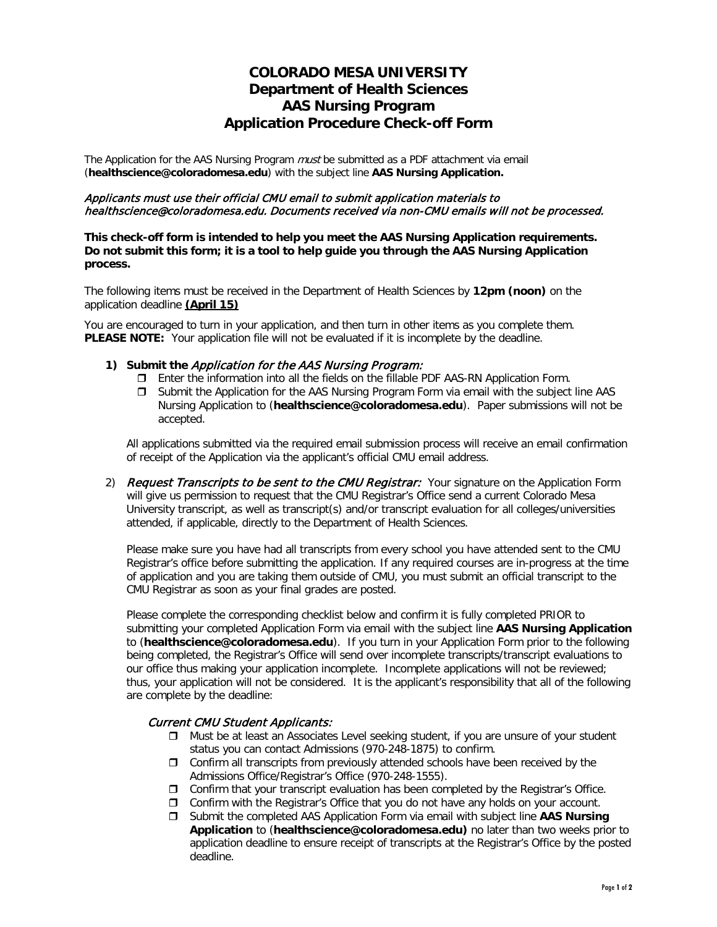# **COLORADO MESA UNIVERSITY Department of Health Sciences AAS Nursing Program Application Procedure Check-off Form**

The Application for the AAS Nursing Program *must* be submitted as a PDF attachment via email (**[healthscience@coloradomesa.edu](mailto:rdphilli@coloradomesa.edu)**) with the subject line **AAS Nursing Application.**

### Applicants must use their official CMU email to submit application materials to healthscience@coloradomesa.edu. Documents received via non-CMU emails will not be processed.

**This check-off form is intended to help you meet the AAS Nursing Application requirements. Do not submit this form; it is a tool to help guide you through the AAS Nursing Application process.**

The following items must be received in the Department of Health Sciences by **12pm (noon)** on the application deadline **(April 15)**

You are encouraged to turn in your application, and then turn in other items as you complete them. **PLEASE NOTE:** Your application file will not be evaluated if it is incomplete by the deadline.

#### **1) Submit the** Application for the AAS Nursing Program:

- Enter the information into all the fields on the fillable PDF AAS-RN Application Form.
- $\Box$  Submit the Application for the AAS Nursing Program Form via email with the subject line AAS Nursing Application to (**[healthscience@coloradomesa.edu](mailto:rdphilli@coloradomesa.edu)**). Paper submissions will not be accepted.

All applications submitted via the required email submission process will receive an email confirmation of receipt of the Application via the applicant's official CMU email address.

2) Request Transcripts to be sent to the CMU Registrar: Your signature on the Application Form will give us permission to request that the CMU Registrar's Office send a current Colorado Mesa University transcript, as well as transcript(s) and/or transcript evaluation for all colleges/universities attended, if applicable, directly to the Department of Health Sciences.

Please make sure you have had all transcripts from every school you have attended sent to the CMU Registrar's office before submitting the application. If any required courses are in-progress at the time of application and you are taking them outside of CMU, you must submit an official transcript to the CMU Registrar as soon as your final grades are posted.

Please complete the corresponding checklist below and confirm it is fully completed PRIOR to submitting your completed Application Form via email with the subject line **AAS Nursing Application** to (**[healthscience@coloradomesa.edu](mailto:rdphilli@coloradomesa.edu)**). If you turn in your Application Form prior to the following being completed, the Registrar's Office will send over incomplete transcripts/transcript evaluations to our office thus making your application incomplete. Incomplete applications will not be reviewed; thus, your application will not be considered. It is the applicant's responsibility that all of the following are complete by the deadline:

### Current CMU Student Applicants:

- Must be at least an Associates Level seeking student, if you are unsure of your student status you can contact Admissions (970-248-1875) to confirm.
- $\Box$  Confirm all transcripts from previously attended schools have been received by the Admissions Office/Registrar's Office (970-248-1555).
- $\Box$  Confirm that your transcript evaluation has been completed by the Registrar's Office.
- $\Box$  Confirm with the Registrar's Office that you do not have any holds on your account.
- Submit the completed AAS Application Form via email with subject line **AAS Nursing Application** to (**[healthscience@coloradomesa.edu\)](mailto:rdphilli@coloradomesa.edu)** no later than two weeks prior to application deadline to ensure receipt of transcripts at the Registrar's Office by the posted deadline.